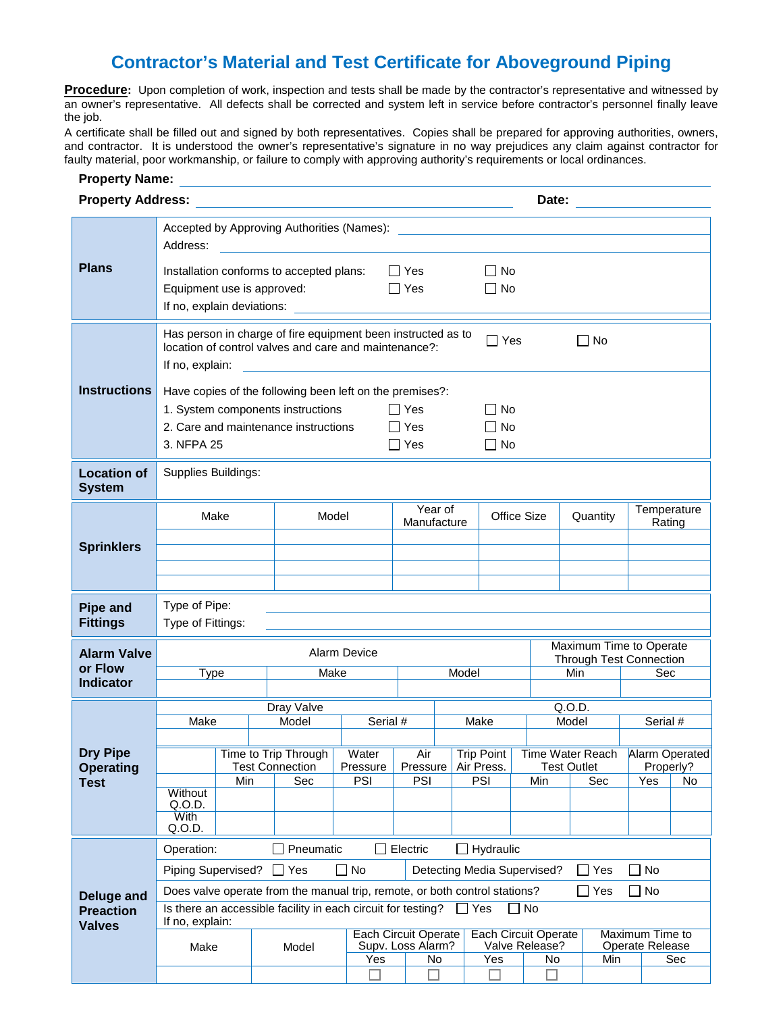## **Contractor's Material and Test Certificate for Aboveground Piping**

**Procedure:** Upon completion of work, inspection and tests shall be made by the contractor's representative and witnessed by an owner's representative. All defects shall be corrected and system left in service before contractor's personnel finally leave the job.

A certificate shall be filled out and signed by both representatives. Copies shall be prepared for approving authorities, owners, and contractor. It is understood the owner's representative's signature in no way prejudices any claim against contractor for faulty material, poor workmanship, or failure to comply with approving authority's requirements or local ordinances.

## **Property Name:**

|                                                        | <b>Property Address:</b><br><u> 1989 - John Stein, Amerikaansk politiker (</u>                                                                                                                                                                                                                                                                                                                                 |  |                   |                             |                          |                                                        | Date:                               |  |                                                            |                        |                                                                  |                                           |  |          |                       |                      |
|--------------------------------------------------------|----------------------------------------------------------------------------------------------------------------------------------------------------------------------------------------------------------------------------------------------------------------------------------------------------------------------------------------------------------------------------------------------------------------|--|-------------------|-----------------------------|--------------------------|--------------------------------------------------------|-------------------------------------|--|------------------------------------------------------------|------------------------|------------------------------------------------------------------|-------------------------------------------|--|----------|-----------------------|----------------------|
| <b>Plans</b>                                           | Accepted by Approving Authorities (Names): Names and Accepted by Approving Authorities (Names):<br>Address:<br>Installation conforms to accepted plans:<br>Equipment use is approved:<br>If no, explain deviations:                                                                                                                                                                                            |  |                   |                             |                          |                                                        | $\Box$ Yes<br>Yes                   |  |                                                            | $\Box$ No<br>$\Box$ No |                                                                  |                                           |  |          |                       |                      |
| <b>Instructions</b>                                    | Has person in charge of fire equipment been instructed as to<br>$\Box$ Yes<br>$\Box$ No<br>location of control valves and care and maintenance?:<br>If no, explain:<br>Have copies of the following been left on the premises?:<br>1. System components instructions<br>$\Box$ No<br>$\Box$ Yes<br>2. Care and maintenance instructions<br>$\Box$ Yes<br>$\Box$ No<br>$\Box$ Yes<br>3. NFPA 25<br>$\square$ No |  |                   |                             |                          |                                                        |                                     |  |                                                            |                        |                                                                  |                                           |  |          |                       |                      |
| <b>Location of</b><br><b>System</b>                    | Supplies Buildings:                                                                                                                                                                                                                                                                                                                                                                                            |  |                   |                             |                          |                                                        |                                     |  |                                                            |                        |                                                                  |                                           |  |          |                       |                      |
| <b>Sprinklers</b>                                      | Make                                                                                                                                                                                                                                                                                                                                                                                                           |  | Model             |                             |                          | Year of<br>Manufacture                                 |                                     |  | Office Size                                                |                        |                                                                  | Quantity                                  |  |          | Temperature<br>Rating |                      |
| <b>Pipe and</b><br><b>Fittings</b>                     | Type of Pipe:<br>Type of Fittings:                                                                                                                                                                                                                                                                                                                                                                             |  |                   |                             |                          |                                                        |                                     |  |                                                            |                        |                                                                  |                                           |  |          |                       |                      |
| <b>Alarm Valve</b><br>or Flow<br><b>Indicator</b>      | <b>Type</b>                                                                                                                                                                                                                                                                                                                                                                                                    |  |                   | <b>Alarm Device</b><br>Make |                          |                                                        | Model                               |  |                                                            |                        | Maximum Time to Operate<br><b>Through Test Connection</b><br>Min |                                           |  | Sec      |                       |                      |
|                                                        |                                                                                                                                                                                                                                                                                                                                                                                                                |  |                   | Dray Valve                  |                          |                                                        |                                     |  |                                                            |                        |                                                                  | Q.O.D.                                    |  |          |                       |                      |
| <b>Dry Pipe</b><br><b>Operating</b><br><b>Test</b>     | Make                                                                                                                                                                                                                                                                                                                                                                                                           |  | Model<br>Serial # |                             |                          |                                                        |                                     |  | Make                                                       |                        |                                                                  | Model                                     |  | Serial # |                       |                      |
|                                                        | Time to Trip Through<br>Test Connection<br>Min<br>Without<br>Q.O.D.<br>With<br>Q.O.D.                                                                                                                                                                                                                                                                                                                          |  |                   | Sec                         | Water<br>Pressure<br>PSI |                                                        | Air<br>Pressure   Air Press.<br>PSI |  | PSI                                                        | Trip Point<br>Min      |                                                                  | Time Water Reach<br>Test Outlet<br>Sec    |  |          | Properly?<br>Yes      | Alarm Operated<br>No |
|                                                        | Pneumatic<br>Electric<br>Hydraulic<br>Operation:                                                                                                                                                                                                                                                                                                                                                               |  |                   |                             |                          |                                                        |                                     |  |                                                            |                        |                                                                  |                                           |  |          |                       |                      |
| <b>Deluge and</b><br><b>Preaction</b><br><b>Valves</b> | No<br>Piping Supervised?<br>$\Box$<br>  Yes                                                                                                                                                                                                                                                                                                                                                                    |  |                   |                             |                          |                                                        |                                     |  | Detecting Media Supervised?<br>Yes<br>No                   |                        |                                                                  |                                           |  |          |                       |                      |
|                                                        | Yes<br>No<br>Does valve operate from the manual trip, remote, or both control stations?<br>$\vert \ \ \vert$                                                                                                                                                                                                                                                                                                   |  |                   |                             |                          |                                                        |                                     |  |                                                            |                        |                                                                  |                                           |  |          |                       |                      |
|                                                        | Is there an accessible facility in each circuit for testing?<br>Yes<br>No<br>If no, explain:                                                                                                                                                                                                                                                                                                                   |  |                   |                             |                          |                                                        |                                     |  |                                                            |                        |                                                                  |                                           |  |          |                       |                      |
|                                                        | Make                                                                                                                                                                                                                                                                                                                                                                                                           |  | Model<br>Yes      |                             |                          | <b>Each Circuit Operate</b><br>Supv. Loss Alarm?<br>No |                                     |  | <b>Each Circuit Operate</b><br>Valve Release?<br>Yes<br>No |                        |                                                                  | Maximum Time to<br>Operate Release<br>Min |  | Sec      |                       |                      |
|                                                        |                                                                                                                                                                                                                                                                                                                                                                                                                |  |                   |                             |                          |                                                        |                                     |  |                                                            |                        |                                                                  |                                           |  |          |                       |                      |